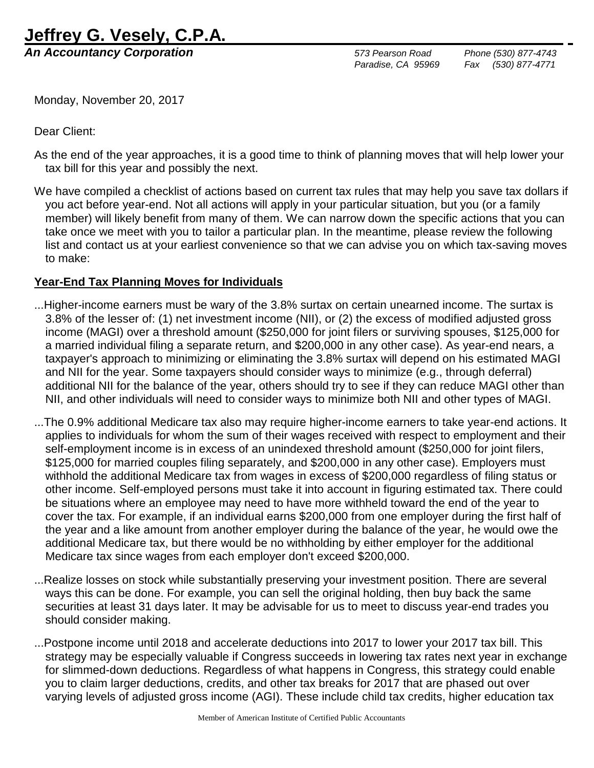## **Jeffrey G. Vesely, C.P.A.**

*An Accountancy Corporation 573 Pearson Road Phone (530) 877-4743*

 *Paradise, CA 95969 Fax (530) 877-4771*

Monday, November 20, 2017

Dear Client:

- As the end of the year approaches, it is a good time to think of planning moves that will help lower your tax bill for this year and possibly the next.
- We have compiled a checklist of actions based on current tax rules that may help you save tax dollars if you act before year-end. Not all actions will apply in your particular situation, but you (or a family member) will likely benefit from many of them. We can narrow down the specific actions that you can take once we meet with you to tailor a particular plan. In the meantime, please review the following list and contact us at your earliest convenience so that we can advise you on which tax-saving moves to make:

## **Year-End Tax Planning Moves for Individuals**

- ...Higher-income earners must be wary of the 3.8% surtax on certain unearned income. The surtax is 3.8% of the lesser of: (1) net investment income (NII), or (2) the excess of modified adjusted gross income (MAGI) over a threshold amount (\$250,000 for joint filers or surviving spouses, \$125,000 for a married individual filing a separate return, and \$200,000 in any other case). As year-end nears, a taxpayer's approach to minimizing or eliminating the 3.8% surtax will depend on his estimated MAGI and NII for the year. Some taxpayers should consider ways to minimize (e.g., through deferral) additional NII for the balance of the year, others should try to see if they can reduce MAGI other than NII, and other individuals will need to consider ways to minimize both NII and other types of MAGI.
- ...The 0.9% additional Medicare tax also may require higher-income earners to take year-end actions. It applies to individuals for whom the sum of their wages received with respect to employment and their self-employment income is in excess of an unindexed threshold amount (\$250,000 for joint filers, \$125,000 for married couples filing separately, and \$200,000 in any other case). Employers must withhold the additional Medicare tax from wages in excess of \$200,000 regardless of filing status or other income. Self-employed persons must take it into account in figuring estimated tax. There could be situations where an employee may need to have more withheld toward the end of the year to cover the tax. For example, if an individual earns \$200,000 from one employer during the first half of the year and a like amount from another employer during the balance of the year, he would owe the additional Medicare tax, but there would be no withholding by either employer for the additional Medicare tax since wages from each employer don't exceed \$200,000.
- ...Realize losses on stock while substantially preserving your investment position. There are several ways this can be done. For example, you can sell the original holding, then buy back the same securities at least 31 days later. It may be advisable for us to meet to discuss year-end trades you should consider making.
- ...Postpone income until 2018 and accelerate deductions into 2017 to lower your 2017 tax bill. This strategy may be especially valuable if Congress succeeds in lowering tax rates next year in exchange for slimmed-down deductions. Regardless of what happens in Congress, this strategy could enable you to claim larger deductions, credits, and other tax breaks for 2017 that are phased out over varying levels of adjusted gross income (AGI). These include child tax credits, higher education tax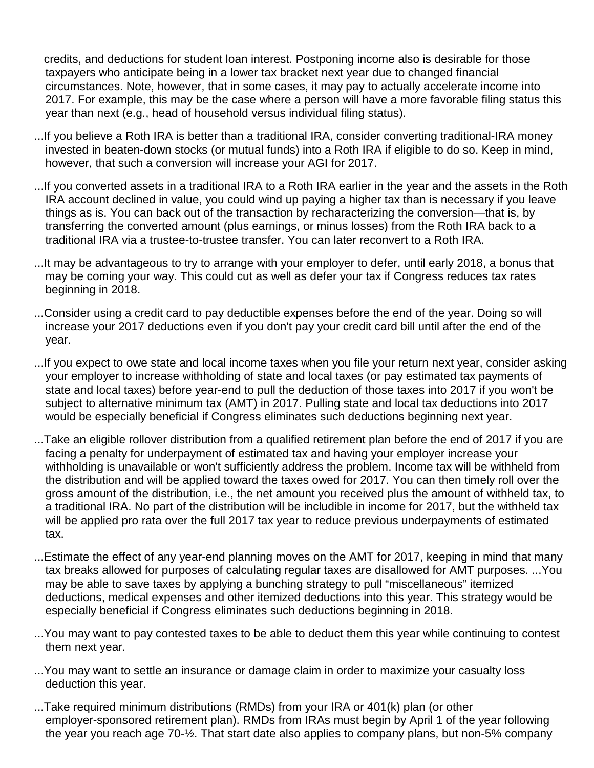credits, and deductions for student loan interest. Postponing income also is desirable for those taxpayers who anticipate being in a lower tax bracket next year due to changed financial circumstances. Note, however, that in some cases, it may pay to actually accelerate income into 2017. For example, this may be the case where a person will have a more favorable filing status this year than next (e.g., head of household versus individual filing status).

- ...If you believe a Roth IRA is better than a traditional IRA, consider converting traditional-IRA money invested in beaten-down stocks (or mutual funds) into a Roth IRA if eligible to do so. Keep in mind, however, that such a conversion will increase your AGI for 2017.
- ...If you converted assets in a traditional IRA to a Roth IRA earlier in the year and the assets in the Roth IRA account declined in value, you could wind up paying a higher tax than is necessary if you leave things as is. You can back out of the transaction by recharacterizing the conversion—that is, by transferring the converted amount (plus earnings, or minus losses) from the Roth IRA back to a traditional IRA via a trustee-to-trustee transfer. You can later reconvert to a Roth IRA.
- ...It may be advantageous to try to arrange with your employer to defer, until early 2018, a bonus that may be coming your way. This could cut as well as defer your tax if Congress reduces tax rates beginning in 2018.
- ...Consider using a credit card to pay deductible expenses before the end of the year. Doing so will increase your 2017 deductions even if you don't pay your credit card bill until after the end of the year.
- ...If you expect to owe state and local income taxes when you file your return next year, consider asking your employer to increase withholding of state and local taxes (or pay estimated tax payments of state and local taxes) before year-end to pull the deduction of those taxes into 2017 if you won't be subject to alternative minimum tax (AMT) in 2017. Pulling state and local tax deductions into 2017 would be especially beneficial if Congress eliminates such deductions beginning next year.
- ...Take an eligible rollover distribution from a qualified retirement plan before the end of 2017 if you are facing a penalty for underpayment of estimated tax and having your employer increase your withholding is unavailable or won't sufficiently address the problem. Income tax will be withheld from the distribution and will be applied toward the taxes owed for 2017. You can then timely roll over the gross amount of the distribution, i.e., the net amount you received plus the amount of withheld tax, to a traditional IRA. No part of the distribution will be includible in income for 2017, but the withheld tax will be applied pro rata over the full 2017 tax year to reduce previous underpayments of estimated tax.
- ...Estimate the effect of any year-end planning moves on the AMT for 2017, keeping in mind that many tax breaks allowed for purposes of calculating regular taxes are disallowed for AMT purposes. ...You may be able to save taxes by applying a bunching strategy to pull "miscellaneous" itemized deductions, medical expenses and other itemized deductions into this year. This strategy would be especially beneficial if Congress eliminates such deductions beginning in 2018.
- ...You may want to pay contested taxes to be able to deduct them this year while continuing to contest them next year.
- ...You may want to settle an insurance or damage claim in order to maximize your casualty loss deduction this year.
- ...Take required minimum distributions (RMDs) from your IRA or 401(k) plan (or other employer-sponsored retirement plan). RMDs from IRAs must begin by April 1 of the year following the year you reach age 70-½. That start date also applies to company plans, but non-5% company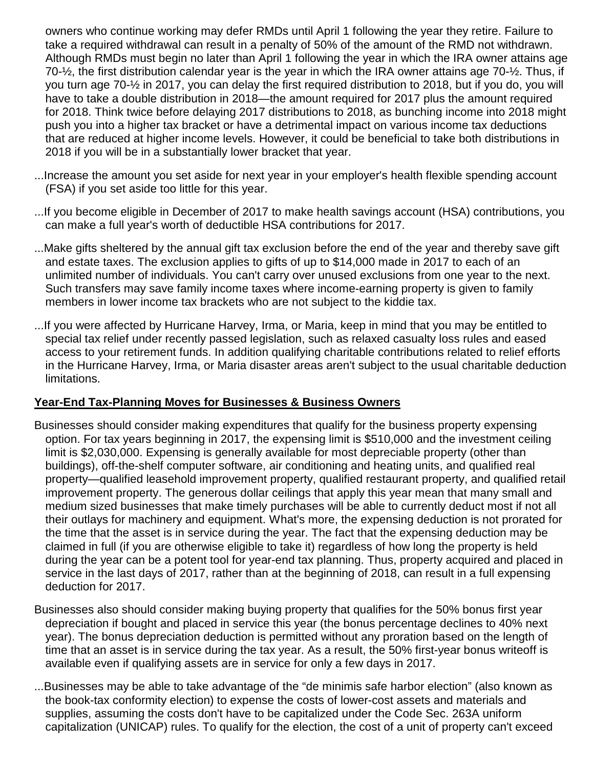owners who continue working may defer RMDs until April 1 following the year they retire. Failure to take a required withdrawal can result in a penalty of 50% of the amount of the RMD not withdrawn. Although RMDs must begin no later than April 1 following the year in which the IRA owner attains age 70-½, the first distribution calendar year is the year in which the IRA owner attains age 70-½. Thus, if you turn age 70-½ in 2017, you can delay the first required distribution to 2018, but if you do, you will have to take a double distribution in 2018—the amount required for 2017 plus the amount required for 2018. Think twice before delaying 2017 distributions to 2018, as bunching income into 2018 might push you into a higher tax bracket or have a detrimental impact on various income tax deductions that are reduced at higher income levels. However, it could be beneficial to take both distributions in 2018 if you will be in a substantially lower bracket that year.

- ...Increase the amount you set aside for next year in your employer's health flexible spending account (FSA) if you set aside too little for this year.
- ...If you become eligible in December of 2017 to make health savings account (HSA) contributions, you can make a full year's worth of deductible HSA contributions for 2017.
- ...Make gifts sheltered by the annual gift tax exclusion before the end of the year and thereby save gift and estate taxes. The exclusion applies to gifts of up to \$14,000 made in 2017 to each of an unlimited number of individuals. You can't carry over unused exclusions from one year to the next. Such transfers may save family income taxes where income-earning property is given to family members in lower income tax brackets who are not subject to the kiddie tax.
- ...If you were affected by Hurricane Harvey, Irma, or Maria, keep in mind that you may be entitled to special tax relief under recently passed legislation, such as relaxed casualty loss rules and eased access to your retirement funds. In addition qualifying charitable contributions related to relief efforts in the Hurricane Harvey, Irma, or Maria disaster areas aren't subject to the usual charitable deduction limitations.

## **Year-End Tax-Planning Moves for Businesses & Business Owners**

- Businesses should consider making expenditures that qualify for the business property expensing option. For tax years beginning in 2017, the expensing limit is \$510,000 and the investment ceiling limit is \$2,030,000. Expensing is generally available for most depreciable property (other than buildings), off-the-shelf computer software, air conditioning and heating units, and qualified real property—qualified leasehold improvement property, qualified restaurant property, and qualified retail improvement property. The generous dollar ceilings that apply this year mean that many small and medium sized businesses that make timely purchases will be able to currently deduct most if not all their outlays for machinery and equipment. What's more, the expensing deduction is not prorated for the time that the asset is in service during the year. The fact that the expensing deduction may be claimed in full (if you are otherwise eligible to take it) regardless of how long the property is held during the year can be a potent tool for year-end tax planning. Thus, property acquired and placed in service in the last days of 2017, rather than at the beginning of 2018, can result in a full expensing deduction for 2017.
- Businesses also should consider making buying property that qualifies for the 50% bonus first year depreciation if bought and placed in service this year (the bonus percentage declines to 40% next year). The bonus depreciation deduction is permitted without any proration based on the length of time that an asset is in service during the tax year. As a result, the 50% first-year bonus writeoff is available even if qualifying assets are in service for only a few days in 2017.
- ...Businesses may be able to take advantage of the "de minimis safe harbor election" (also known as the book-tax conformity election) to expense the costs of lower-cost assets and materials and supplies, assuming the costs don't have to be capitalized under the Code Sec. 263A uniform capitalization (UNICAP) rules. To qualify for the election, the cost of a unit of property can't exceed